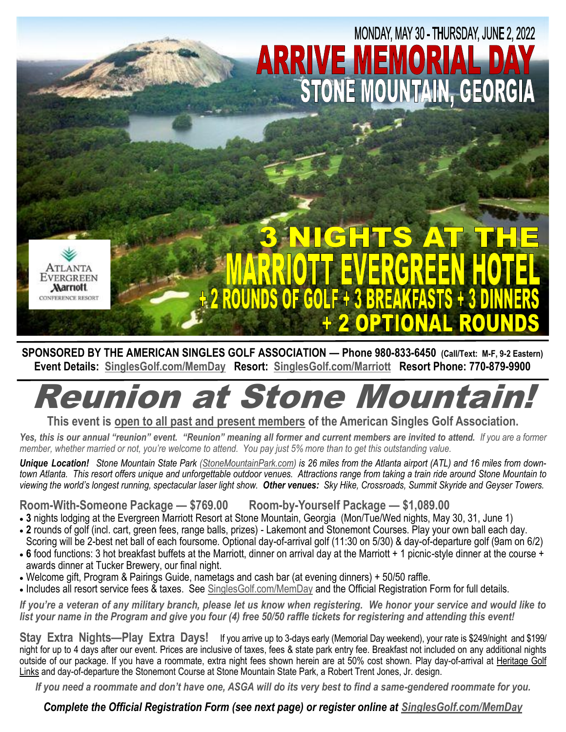

**SPONSORED BY THE AMERICAN SINGLES GOLF ASSOCIATION — Phone 980-833-6450 (Call/Text: M-F, 9-2 Eastern) Event Details: SinglesGolf.com/MemDay Resort: SinglesGolf.com/Marriott Resort Phone: 770-879-9900**

## **Reunion at Stone Mounta**

**This event is open to all past and present members of the American Singles Golf Association.**

Yes, this is our annual "reunion" event. "Reunion" meaning all former and current members are invited to attend. If you are a former *member, whether married or not, you're welcome to attend. You pay just 5% more than to get this outstanding value.*

*Unique Location! Stone Mountain State Park (StoneMountainPark.com) is 26 miles from the Atlanta airport (ATL) and 16 miles from downtown Atlanta. This resort offers unique and unforgettable outdoor venues. Attractions range from taking a train ride around Stone Mountain to viewing the world's longest running, spectacular laser light show. Other venues: Sky Hike, Crossroads, Summit Skyride and Geyser Towers.*

**Room-With-Someone Package — \$769.00 Room-by-Yourself Package — \$1,089.00** 

- **3** nights lodging at the Evergreen Marriott Resort at Stone Mountain, Georgia (Mon/Tue/Wed nights, May 30, 31, June 1)
- **2** rounds of golf (incl. cart, green fees, range balls, prizes) Lakemont and Stonemont Courses. Play your own ball each day. Scoring will be 2-best net ball of each foursome. Optional day-of-arrival golf (11:30 on 5/30) & day-of-departure golf (9am on 6/2)
- 6 food functions: 3 hot breakfast buffets at the Marriott, dinner on arrival day at the Marriott + 1 picnic-style dinner at the course + awards dinner at Tucker Brewery, our final night.
- Welcome gift, Program & Pairings Guide, nametags and cash bar (at evening dinners) + 50/50 raffle.
- Includes all resort service fees & taxes. See SinglesGolf.com/MemDay and the Official Registration Form for full details.

*If you're a veteran of any military branch, please let us know when registering. We honor your service and would like to list your name in the Program and give you four (4) free 50/50 raffle tickets for registering and attending this event!* 

**Stay Extra Nights—Play Extra Days!** If you arrive up to 3-days early (Memorial Day weekend), your rate is \$249/night and \$199/ night for up to 4 days after our event. Prices are inclusive of taxes, fees & state park entry fee. Breakfast not included on any additional nights outside of our package. If you have a roommate, extra night fees shown herein are at 50% cost shown. Play day-of-arrival at Heritage Golf Links and day-of-departure the Stonemont Course at Stone Mountain State Park, a Robert Trent Jones, Jr. design.

*If you need a roommate and don't have one, ASGA will do its very best to find a same-gendered roommate for you.*

*Complete the Official Registration Form (see next page) or register online at SinglesGolf.com/MemDay*